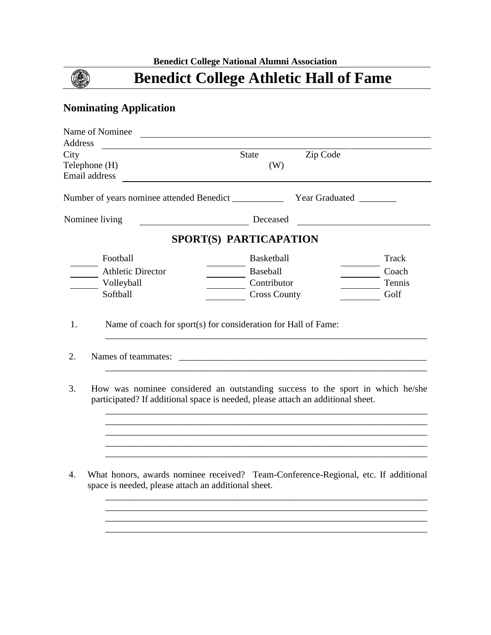# **Benedict College Athletic Hall of Fame**

## **Nominating Application**

۱

| Name of Nominee                                                                                                                                                         |                     |                       |              |
|-------------------------------------------------------------------------------------------------------------------------------------------------------------------------|---------------------|-----------------------|--------------|
| <b>Address</b>                                                                                                                                                          |                     |                       |              |
| City                                                                                                                                                                    | <b>State</b>        | Zip Code              |              |
| Telephone (H)                                                                                                                                                           | (W)                 |                       |              |
| Email address                                                                                                                                                           |                     |                       |              |
|                                                                                                                                                                         |                     |                       |              |
| Number of years nominee attended Benedict __________                                                                                                                    |                     | <b>Year Graduated</b> |              |
| Nominee living                                                                                                                                                          | Deceased            |                       |              |
| SPORT(S) PARTICAPATION                                                                                                                                                  |                     |                       |              |
| Football                                                                                                                                                                | <b>Basketball</b>   |                       | <b>Track</b> |
| <b>Athletic Director</b>                                                                                                                                                | Baseball            |                       | Coach        |
| Volleyball                                                                                                                                                              | Contributor         |                       | Tennis       |
| Softball                                                                                                                                                                | <b>Cross County</b> |                       | Golf         |
| Names of teammates:<br>2.                                                                                                                                               |                     |                       |              |
| How was nominee considered an outstanding success to the sport in which he/she<br>3.<br>participated? If additional space is needed, please attach an additional sheet. |                     |                       |              |
| What honors, awards nominee received? Team-Conference-Regional, etc. If additional<br>4.<br>space is needed, please attach an additional sheet.                         |                     |                       |              |
|                                                                                                                                                                         |                     |                       |              |

\_\_\_\_\_\_\_\_\_\_\_\_\_\_\_\_\_\_\_\_\_\_\_\_\_\_\_\_\_\_\_\_\_\_\_\_\_\_\_\_\_\_\_\_\_\_\_\_\_\_\_\_\_\_\_\_\_\_\_\_\_\_\_\_\_\_\_\_\_